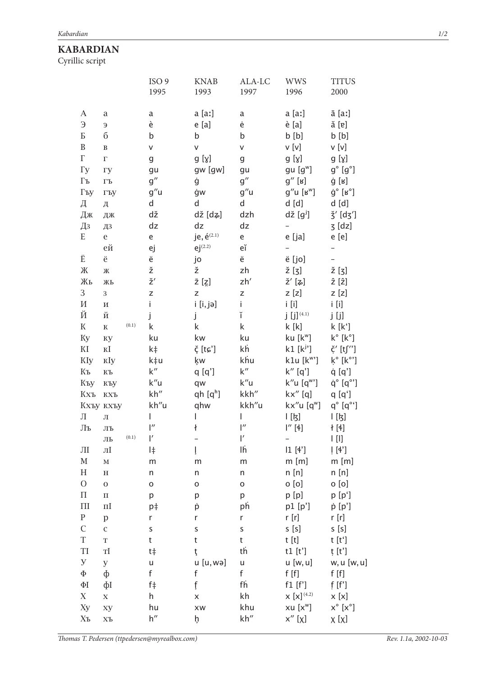## **KABARDIAN**

Cyrillic script

|                           |                        |       | ISO <sub>9</sub><br>1995 | <b>KNAB</b><br>1993     | ALA-LC<br>1997 | <b>WWS</b><br>1996                                | <b>TITUS</b><br>2000                    |
|---------------------------|------------------------|-------|--------------------------|-------------------------|----------------|---------------------------------------------------|-----------------------------------------|
|                           |                        |       |                          |                         |                |                                                   |                                         |
| A                         | a                      |       | a                        | a [aː]                  | a              | a [aː]                                            | ā [aː]                                  |
| $\Theta$                  | Э                      |       | è                        | e[a]                    | ė              | $\dot{e}$ [a]                                     | ă [ɐ]                                   |
| Б                         | б                      |       | b                        | b                       | b              | b [b]                                             | b [b]                                   |
| $\, {\bf B}$              | $\, {\bf B}$           |       | V                        | $\sf V$                 | V              | v [v]                                             | $v$ [v]                                 |
| $\Gamma$                  | $\Gamma$               |       | g                        | g [ɣ]                   | g              | g [ɣ]                                             | g [ɣ]                                   |
| $\Gamma y$                | гу                     |       | gu                       | gw [gw]                 | gu             | gu [g <sup>w</sup> ]                              | $g^{\circ}$ [ $g^{\circ}$ ]             |
| $\Gamma\textsc{d}$        | $\Gamma\mathbf{L}$     |       | g''                      | ġ                       | g''            | $\mathfrak{g}''$ [ʁ]                              | ĝ [ʁ]                                   |
| Гъу                       | ГЪУ                    |       | g''u                     | ġw                      | g''u           | $g''u$ [ $\mathbf{s}^w$ ]                         | $\dot{\mathsf g}^\circ$ [ʁ°]            |
| Д                         | Д                      |       | d                        | d                       | d              | $d$ [d]                                           | $d$ $[d]$                               |
| Дж                        | ДЖ                     |       | dž                       | dž [dʑ]                 | dzh            | $d\check{z}$ [g <sup>j</sup> ]                    | $\check{5}'$ [d $\check{5}'$ ]          |
| Дз                        | ДЗ                     |       | dz                       | dz                      | dz             | $\qquad \qquad -$                                 | $5$ [dz]                                |
| E                         | $\mathbf e$            |       | e                        | je, $\acute{e}^{(2.1)}$ | e              | e [ja]                                            | e [e]                                   |
|                           | ей                     |       | ej                       | $ej^{(2.2)}$            | еĭ             |                                                   | $\overline{\phantom{0}}$                |
| Ë                         | ë                      |       | ë                        | jo                      | ë              | ë [jo]                                            |                                         |
| Ж                         | Ж                      |       | ž                        | ž                       | zh             | ž [ʒ]                                             | $\check{z}$ [ʒ]                         |
| Жь                        | ЖЬ                     |       | ž′                       | $\bar{z}$ [z]           | zh'            | $\check{\mathsf{z}}'$ [ $\sharp$ ]                | 2 [2]                                   |
| 3                         | 3                      |       | Z                        | Z                       | Z              | z[z]                                              | $z$ [z]                                 |
| $\boldsymbol{\mathit{M}}$ | $\,$ M                 |       | İ.                       | $i$ [i, jə]             | İ.             | $i$ [i]                                           | $i$ [i]                                 |
| Й                         | й                      |       | j                        | j                       | ĭ              | $j$ [j] <sup>(4.1)</sup>                          | j [j]                                   |
| $\rm K$                   | $\mathbf K$            | (0.1) | k                        | k                       | k              | k [k]                                             | k[k']                                   |
| Ky                        | кy                     |       | ku                       | kw                      | ku             | ku [k <sup>w</sup> ]                              | $k^{\circ}$ [ $k^{\circ}$ ]             |
| $\rm K I$                 | $\mathbf{K}\mathbf{I}$ |       | k‡                       | č [tɕ']                 | k'n            | $k1 [k^j]$                                        | $\check{\varsigma}'$ [tʃ'']             |
| <b>KIy</b>                | кIу                    |       | k‡u                      | ķw                      | khu            | k1u [k <sup>w</sup> ']                            | $k^{\circ}$ [ $k^{\circ}$ ']            |
| $\rm K\rm$                | KЪ                     |       | k''                      | q [q']                  | k''            | $k''$ [q']                                        | q [q']                                  |
| Къу                       | къу                    |       | k"u                      | qw                      | k"u            | $k''u$ [q <sup>w</sup> ']                         | $\dot{q}^{\circ}$ [q $^{\circ}$ ']      |
| Кхъ                       | $KX$ Ъ                 |       | kh"                      | qh $[q^h]$              | kkh"           | $kx''$ [q]                                        | q [q']                                  |
|                           | Кхъу кхъу              |       | kh"u                     | qhw                     | kkh"u          | $kx''u$ [q <sup>w</sup> ]                         | $q^{\circ}$ [ $q^{\circ}$ ']            |
| Л                         | Л                      |       | I                        | I                       | I              | [k]                                               | [k]                                     |
| $\prod \mathbf{P}$        | ЛЪ                     |       | $\mathsf{I}''$           | ł                       | $\mathsf{I}''$ | $\mathsf{I}''$ [4]                                | ł [4]                                   |
|                           | ЛЬ                     | (0.1) | $\mathsf{I}'$            | -                       | ľ              |                                                   | $\lfloor \, \lfloor \, \rfloor \rfloor$ |
| ЛІ                        | $\pi I$                |       | I‡                       | ļ                       | Ιĥ             | 11[4']                                            | $\lfloor [4^r] \rfloor$                 |
| $\mathbf M$               | $\mathbf M$            |       | m                        | m                       | m              | $m$ [m]                                           | $m$ [m]                                 |
| $\boldsymbol{\mathrm{H}}$ | $\rm H$                |       | n                        | n                       | n              | n[n]                                              | n[n]                                    |
| $\overline{O}$            | $\mathbf 0$            |       | O                        | o                       | O              | $o$ [o]                                           | $o$ [o]                                 |
| $\boldsymbol{\Pi}$        | $\boldsymbol{\Pi}$     |       | р                        | р                       | р              | p [p]                                             | p [p']                                  |
| $\prod$                   | $\Pi$                  |       | p‡                       | þ                       | ph             | p1[p']                                            | $\dot{p}$ [p']                          |
| ${\bf P}$                 | $\mathbf{p}$           |       | r                        | r                       | r              | r [r]                                             | r [r]                                   |
| $\mathsf C$               | $\mathsf C$            |       | S                        | S                       | S              | s[s]                                              | s [s]                                   |
| $\mathbf T$               | $\mathbf T$            |       | t                        | t                       | t              | t [t]                                             | t [t']                                  |
| TI                        | $\mathbf{T}$           |       | $t\ddagger$              | ţ                       | th             | t1 $[t']$                                         | ț [t']                                  |
| ${\bf y}$                 | y                      |       | u                        | u [u, wə]               | u              | u [w, u]                                          | w, u [w, u]                             |
| $\Phi$                    | ф                      |       | f                        | f                       | f              | f[f]                                              | f[f]                                    |
| $\Phi$ I                  | фΙ                     |       | f                        | f                       | f'n            | $f1$ [ $f$ ']                                     | f[f']                                   |
| $\boldsymbol{\mathrm{X}}$ | $\mathbf X$            |       | h                        | X                       | kh             | $\boldsymbol{\mathsf{X}}$ [ <b>x</b> ] $^{(4.2)}$ | x[x]                                    |
| Xy                        | xy                     |       | hu                       | XW                      | khu            | $xu$ [ $x^w$ ]                                    | $x^{\circ}$ $[x^{\circ}]$               |
| $X$ ъ                     | X <sub>D</sub>         |       | h''                      | þ.                      | kh"            | $x''$ [x]                                         | x [x]                                   |